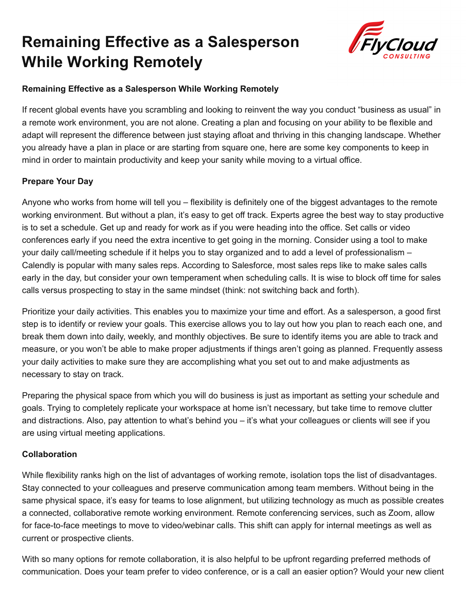# **Remaining Effective as a Salesperson While Working Remotely**



## **Remaining Effective as a Salesperson While Working Remotely**

If recent global events have you scrambling and looking to reinvent the way you conduct "business as usual" in a remote work environment, you are not alone. Creating a plan and focusing on your ability to be flexible and adapt will represent the difference between just staying afloat and thriving in this changing landscape. Whether you already have a plan in place or are starting from square one, here are some key components to keep in mind in order to maintain productivity and keep your sanity while moving to a virtual office.

## **Prepare Your Day**

Anyone who works from home will tell you – flexibility is definitely one of the biggest advantages to the remote working environment. But without a plan, it's easy to get off track. Experts agree the best way to stay productive is to set a schedule. Get up and ready for work as if you were heading into the office. Set calls or video conferences early if you need the extra incentive to get going in the morning. Consider using a tool to make your daily call/meeting schedule if it helps you to stay organized and to add a level of professionalism – Calendly is popular with many sales reps. According to Salesforce, most sales reps like to make sales calls early in the day, but consider your own temperament when scheduling calls. It is wise to block off time for sales calls versus prospecting to stay in the same mindset (think: not switching back and forth).

Prioritize your daily activities. This enables you to maximize your time and effort. As a salesperson, a good first step is to identify or review your goals. This exercise allows you to lay out how you plan to reach each one, and break them down into daily, weekly, and monthly objectives. Be sure to identify items you are able to track and measure, or you won't be able to make proper adjustments if things aren't going as planned. Frequently assess your daily activities to make sure they are accomplishing what you set out to and make adjustments as necessary to stay on track.

Preparing the physical space from which you will do business is just as important as setting your schedule and goals. Trying to completely replicate your workspace at home isn't necessary, but take time to remove clutter and distractions. Also, pay attention to what's behind you – it's what your colleagues or clients will see if you are using virtual meeting applications.

### **Collaboration**

While flexibility ranks high on the list of advantages of working remote, isolation tops the list of disadvantages. Stay connected to your colleagues and preserve communication among team members. Without being in the same physical space, it's easy for teams to lose alignment, but utilizing technology as much as possible creates a connected, collaborative remote working environment. Remote conferencing services, such as Zoom, allow for face-to-face meetings to move to video/webinar calls. This shift can apply for internal meetings as well as current or prospective clients.

With so many options for remote collaboration, it is also helpful to be upfront regarding preferred methods of communication. Does your team prefer to video conference, or is a call an easier option? Would your new client